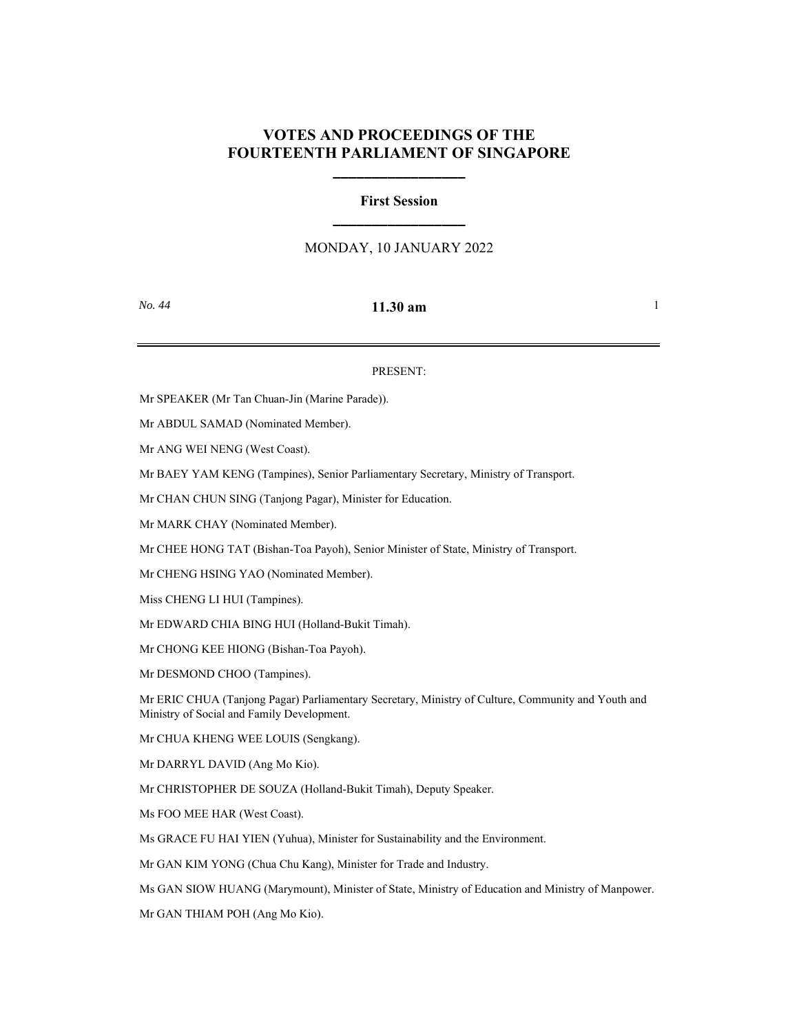## **VOTES AND PROCEEDINGS OF THE FOURTEENTH PARLIAMENT OF SINGAPORE**

**\_\_\_\_\_\_\_\_\_\_\_\_\_\_\_\_\_**

# **First Session \_\_\_\_\_\_\_\_\_\_\_\_\_\_\_\_\_**

## MONDAY, 10 JANUARY 2022

## *No. 44* **<b>11.30 am** 1

#### PRESENT:

Mr SPEAKER (Mr Tan Chuan-Jin (Marine Parade)).

Mr ABDUL SAMAD (Nominated Member).

Mr ANG WEI NENG (West Coast).

Mr BAEY YAM KENG (Tampines), Senior Parliamentary Secretary, Ministry of Transport.

Mr CHAN CHUN SING (Tanjong Pagar), Minister for Education.

Mr MARK CHAY (Nominated Member).

Mr CHEE HONG TAT (Bishan-Toa Payoh), Senior Minister of State, Ministry of Transport.

Mr CHENG HSING YAO (Nominated Member).

Miss CHENG LI HUI (Tampines).

Mr EDWARD CHIA BING HUI (Holland-Bukit Timah).

Mr CHONG KEE HIONG (Bishan-Toa Payoh).

Mr DESMOND CHOO (Tampines).

Mr ERIC CHUA (Tanjong Pagar) Parliamentary Secretary, Ministry of Culture, Community and Youth and Ministry of Social and Family Development.

Mr CHUA KHENG WEE LOUIS (Sengkang).

Mr DARRYL DAVID (Ang Mo Kio).

Mr CHRISTOPHER DE SOUZA (Holland-Bukit Timah), Deputy Speaker.

Ms FOO MEE HAR (West Coast).

Ms GRACE FU HAI YIEN (Yuhua), Minister for Sustainability and the Environment.

Mr GAN KIM YONG (Chua Chu Kang), Minister for Trade and Industry.

Ms GAN SIOW HUANG (Marymount), Minister of State, Ministry of Education and Ministry of Manpower.

Mr GAN THIAM POH (Ang Mo Kio).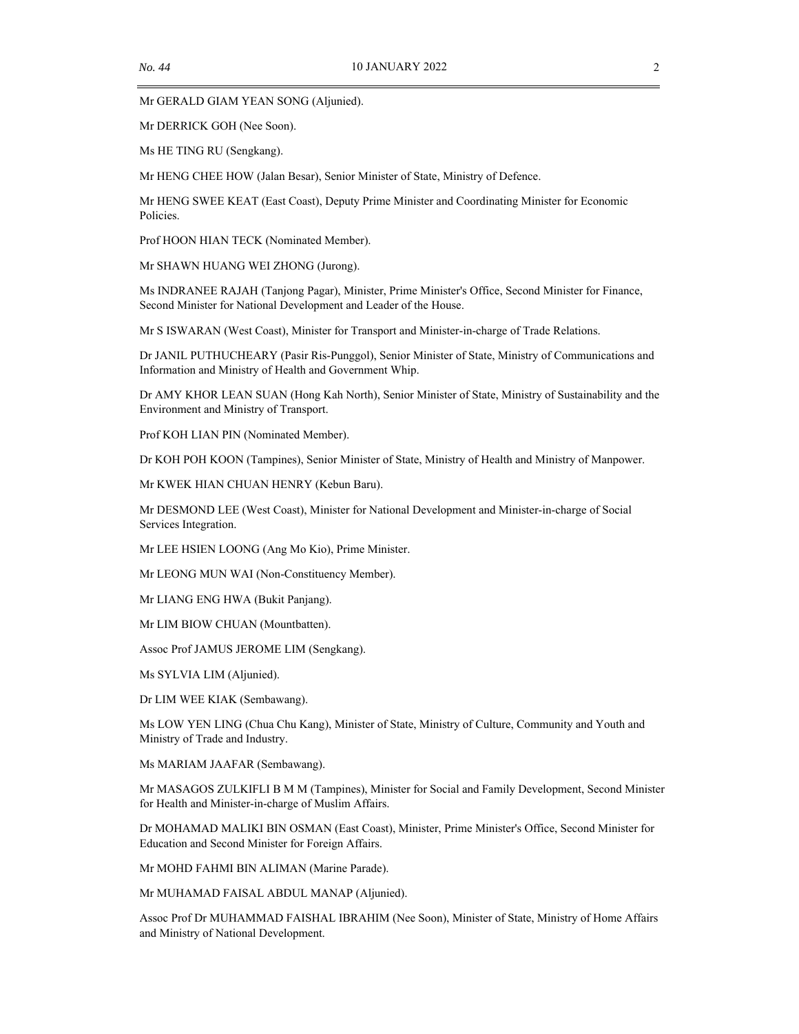Mr GERALD GIAM YEAN SONG (Aljunied).

Mr DERRICK GOH (Nee Soon).

Ms HE TING RU (Sengkang).

Mr HENG CHEE HOW (Jalan Besar), Senior Minister of State, Ministry of Defence.

Mr HENG SWEE KEAT (East Coast), Deputy Prime Minister and Coordinating Minister for Economic Policies.

Prof HOON HIAN TECK (Nominated Member).

Mr SHAWN HUANG WEI ZHONG (Jurong).

Ms INDRANEE RAJAH (Tanjong Pagar), Minister, Prime Minister's Office, Second Minister for Finance, Second Minister for National Development and Leader of the House.

Mr S ISWARAN (West Coast), Minister for Transport and Minister-in-charge of Trade Relations.

Dr JANIL PUTHUCHEARY (Pasir Ris-Punggol), Senior Minister of State, Ministry of Communications and Information and Ministry of Health and Government Whip.

Dr AMY KHOR LEAN SUAN (Hong Kah North), Senior Minister of State, Ministry of Sustainability and the Environment and Ministry of Transport.

Prof KOH LIAN PIN (Nominated Member).

Dr KOH POH KOON (Tampines), Senior Minister of State, Ministry of Health and Ministry of Manpower.

Mr KWEK HIAN CHUAN HENRY (Kebun Baru).

Mr DESMOND LEE (West Coast), Minister for National Development and Minister-in-charge of Social Services Integration.

Mr LEE HSIEN LOONG (Ang Mo Kio), Prime Minister.

Mr LEONG MUN WAI (Non-Constituency Member).

Mr LIANG ENG HWA (Bukit Panjang).

Mr LIM BIOW CHUAN (Mountbatten).

Assoc Prof JAMUS JEROME LIM (Sengkang).

Ms SYLVIA LIM (Aljunied).

Dr LIM WEE KIAK (Sembawang).

Ms LOW YEN LING (Chua Chu Kang), Minister of State, Ministry of Culture, Community and Youth and Ministry of Trade and Industry.

Ms MARIAM JAAFAR (Sembawang).

Mr MASAGOS ZULKIFLI B M M (Tampines), Minister for Social and Family Development, Second Minister for Health and Minister-in-charge of Muslim Affairs.

Dr MOHAMAD MALIKI BIN OSMAN (East Coast), Minister, Prime Minister's Office, Second Minister for Education and Second Minister for Foreign Affairs.

Mr MOHD FAHMI BIN ALIMAN (Marine Parade).

Mr MUHAMAD FAISAL ABDUL MANAP (Aljunied).

Assoc Prof Dr MUHAMMAD FAISHAL IBRAHIM (Nee Soon), Minister of State, Ministry of Home Affairs and Ministry of National Development.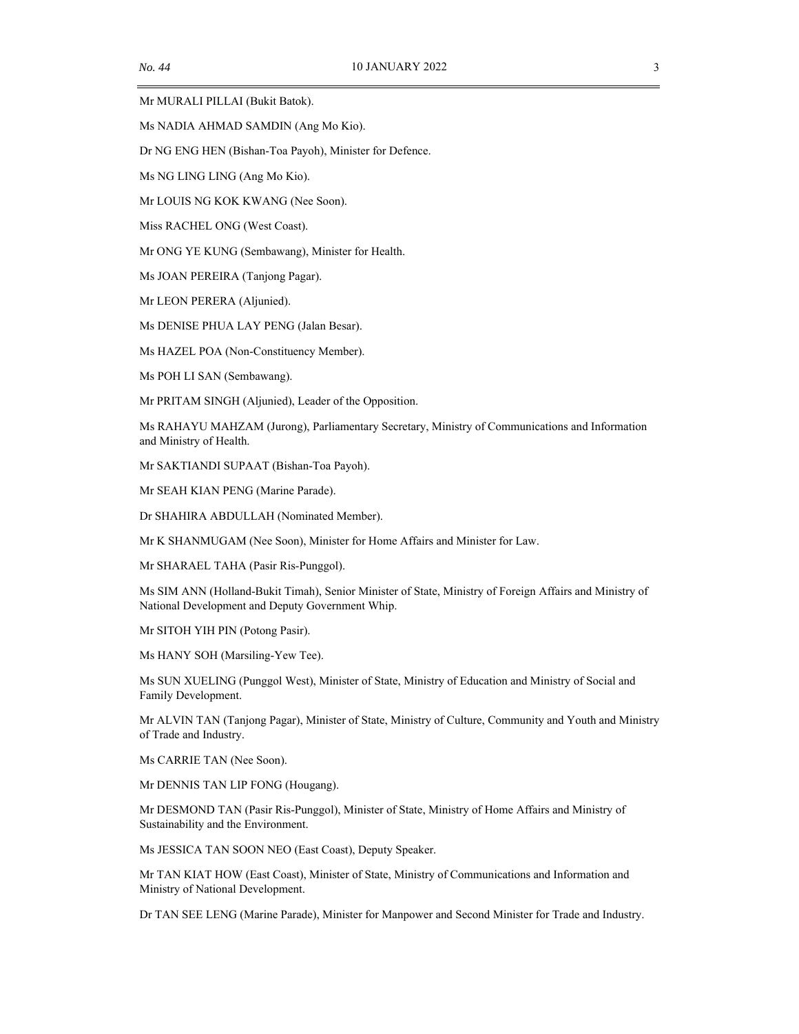Mr MURALI PILLAI (Bukit Batok).

Ms NADIA AHMAD SAMDIN (Ang Mo Kio).

Dr NG ENG HEN (Bishan-Toa Payoh), Minister for Defence.

Ms NG LING LING (Ang Mo Kio).

Mr LOUIS NG KOK KWANG (Nee Soon).

Miss RACHEL ONG (West Coast).

Mr ONG YE KUNG (Sembawang), Minister for Health.

Ms JOAN PEREIRA (Tanjong Pagar).

Mr LEON PERERA (Aljunied).

Ms DENISE PHUA LAY PENG (Jalan Besar).

Ms HAZEL POA (Non-Constituency Member).

Ms POH LI SAN (Sembawang).

Mr PRITAM SINGH (Aljunied), Leader of the Opposition.

Ms RAHAYU MAHZAM (Jurong), Parliamentary Secretary, Ministry of Communications and Information and Ministry of Health.

Mr SAKTIANDI SUPAAT (Bishan-Toa Payoh).

Mr SEAH KIAN PENG (Marine Parade).

Dr SHAHIRA ABDULLAH (Nominated Member).

Mr K SHANMUGAM (Nee Soon), Minister for Home Affairs and Minister for Law.

Mr SHARAEL TAHA (Pasir Ris-Punggol).

Ms SIM ANN (Holland-Bukit Timah), Senior Minister of State, Ministry of Foreign Affairs and Ministry of National Development and Deputy Government Whip.

Mr SITOH YIH PIN (Potong Pasir).

Ms HANY SOH (Marsiling-Yew Tee).

Ms SUN XUELING (Punggol West), Minister of State, Ministry of Education and Ministry of Social and Family Development.

Mr ALVIN TAN (Tanjong Pagar), Minister of State, Ministry of Culture, Community and Youth and Ministry of Trade and Industry.

Ms CARRIE TAN (Nee Soon).

Mr DENNIS TAN LIP FONG (Hougang).

Mr DESMOND TAN (Pasir Ris-Punggol), Minister of State, Ministry of Home Affairs and Ministry of Sustainability and the Environment.

Ms JESSICA TAN SOON NEO (East Coast), Deputy Speaker.

Mr TAN KIAT HOW (East Coast), Minister of State, Ministry of Communications and Information and Ministry of National Development.

Dr TAN SEE LENG (Marine Parade), Minister for Manpower and Second Minister for Trade and Industry.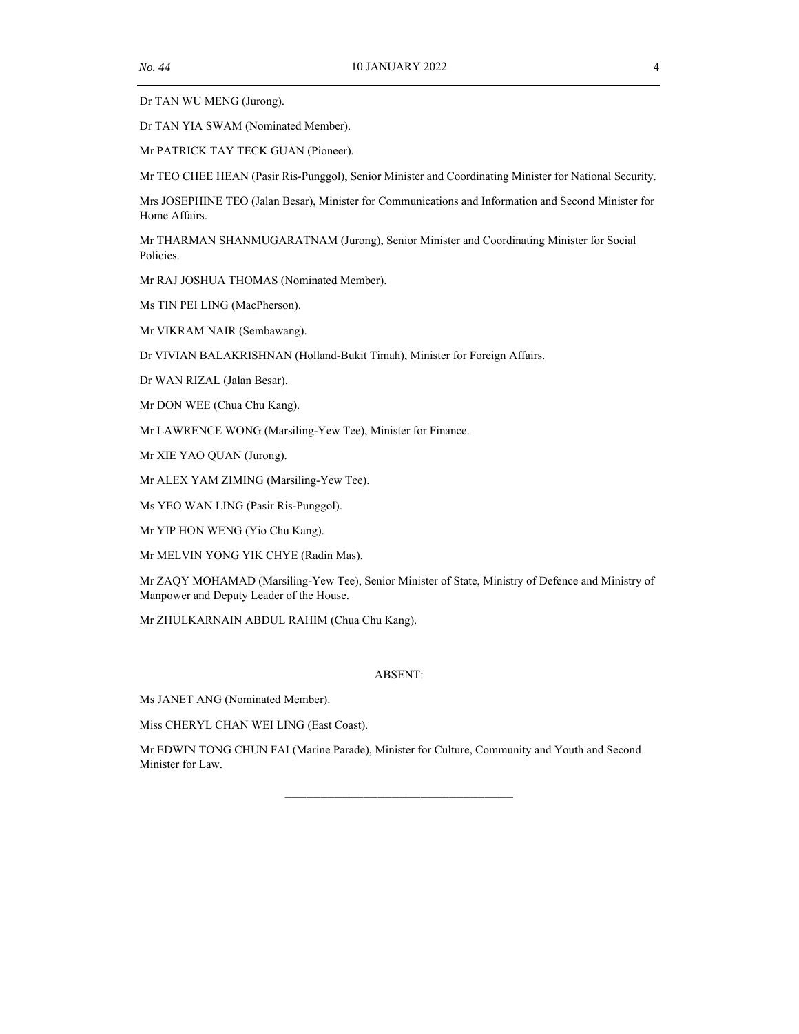Dr TAN WU MENG (Jurong).

Dr TAN YIA SWAM (Nominated Member).

Mr PATRICK TAY TECK GUAN (Pioneer).

Mr TEO CHEE HEAN (Pasir Ris-Punggol), Senior Minister and Coordinating Minister for National Security.

Mrs JOSEPHINE TEO (Jalan Besar), Minister for Communications and Information and Second Minister for Home Affairs.

Mr THARMAN SHANMUGARATNAM (Jurong), Senior Minister and Coordinating Minister for Social Policies.

Mr RAJ JOSHUA THOMAS (Nominated Member).

Ms TIN PEI LING (MacPherson).

Mr VIKRAM NAIR (Sembawang).

Dr VIVIAN BALAKRISHNAN (Holland-Bukit Timah), Minister for Foreign Affairs.

Dr WAN RIZAL (Jalan Besar).

Mr DON WEE (Chua Chu Kang).

Mr LAWRENCE WONG (Marsiling-Yew Tee), Minister for Finance.

Mr XIE YAO QUAN (Jurong).

Mr ALEX YAM ZIMING (Marsiling-Yew Tee).

Ms YEO WAN LING (Pasir Ris-Punggol).

Mr YIP HON WENG (Yio Chu Kang).

Mr MELVIN YONG YIK CHYE (Radin Mas).

Mr ZAQY MOHAMAD (Marsiling-Yew Tee), Senior Minister of State, Ministry of Defence and Ministry of Manpower and Deputy Leader of the House.

Mr ZHULKARNAIN ABDUL RAHIM (Chua Chu Kang).

#### ABSENT:

Ms JANET ANG (Nominated Member).

Miss CHERYL CHAN WEI LING (East Coast).

Mr EDWIN TONG CHUN FAI (Marine Parade), Minister for Culture, Community and Youth and Second Minister for Law.

\_\_\_\_\_\_\_\_\_\_\_\_\_\_\_\_\_\_\_\_\_\_\_\_\_\_\_\_\_\_\_\_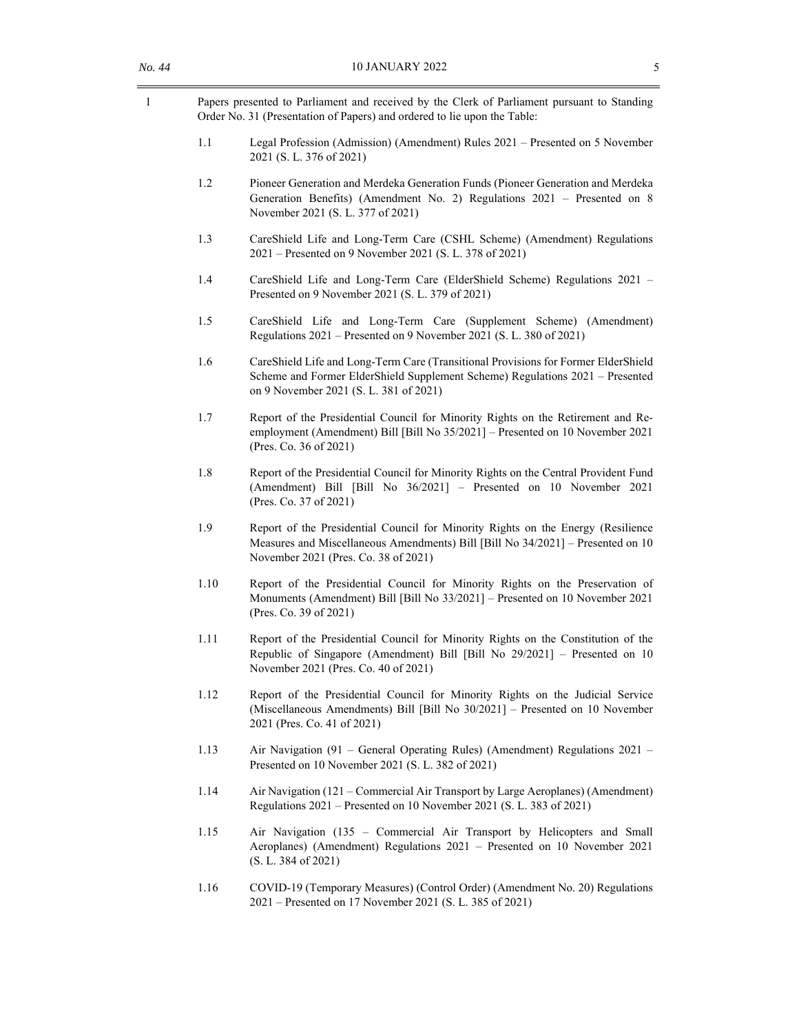| Papers presented to Parliament and received by the Clerk of Parliament pursuant to Standing |
|---------------------------------------------------------------------------------------------|
| Order No. 31 (Presentation of Papers) and ordered to lie upon the Table:                    |

- 1.1 Legal Profession (Admission) (Amendment) Rules 2021 Presented on 5 November 2021 (S. L. 376 of 2021)
- 1.2 Pioneer Generation and Merdeka Generation Funds (Pioneer Generation and Merdeka Generation Benefits) (Amendment No. 2) Regulations 2021 – Presented on 8 November 2021 (S. L. 377 of 2021)
- 1.3 CareShield Life and Long-Term Care (CSHL Scheme) (Amendment) Regulations 2021 – Presented on 9 November 2021 (S. L. 378 of 2021)
- 1.4 CareShield Life and Long-Term Care (ElderShield Scheme) Regulations 2021 Presented on 9 November 2021 (S. L. 379 of 2021)
- 1.5 CareShield Life and Long-Term Care (Supplement Scheme) (Amendment) Regulations 2021 – Presented on 9 November 2021 (S. L. 380 of 2021)
- 1.6 CareShield Life and Long-Term Care (Transitional Provisions for Former ElderShield Scheme and Former ElderShield Supplement Scheme) Regulations 2021 – Presented on 9 November 2021 (S. L. 381 of 2021)
- 1.7 Report of the Presidential Council for Minority Rights on the Retirement and Reemployment (Amendment) Bill [Bill No 35/2021] – Presented on 10 November 2021 (Pres. Co. 36 of 2021)
- 1.8 Report of the Presidential Council for Minority Rights on the Central Provident Fund (Amendment) Bill [Bill No 36/2021] – Presented on 10 November 2021 (Pres. Co. 37 of 2021)
- 1.9 Report of the Presidential Council for Minority Rights on the Energy (Resilience Measures and Miscellaneous Amendments) Bill [Bill No 34/2021] – Presented on 10 November 2021 (Pres. Co. 38 of 2021)
- 1.10 Report of the Presidential Council for Minority Rights on the Preservation of Monuments (Amendment) Bill [Bill No 33/2021] – Presented on 10 November 2021 (Pres. Co. 39 of 2021)
- 1.11 Report of the Presidential Council for Minority Rights on the Constitution of the Republic of Singapore (Amendment) Bill [Bill No 29/2021] – Presented on 10 November 2021 (Pres. Co. 40 of 2021)
- 1.12 Report of the Presidential Council for Minority Rights on the Judicial Service (Miscellaneous Amendments) Bill [Bill No 30/2021] – Presented on 10 November 2021 (Pres. Co. 41 of 2021)
- 1.13 Air Navigation (91 General Operating Rules) (Amendment) Regulations 2021 Presented on 10 November 2021 (S. L. 382 of 2021)
- 1.14 Air Navigation (121 Commercial Air Transport by Large Aeroplanes) (Amendment) Regulations 2021 – Presented on 10 November 2021 (S. L. 383 of 2021)
- 1.15 Air Navigation (135 Commercial Air Transport by Helicopters and Small Aeroplanes) (Amendment) Regulations 2021 – Presented on 10 November 2021 (S. L. 384 of 2021)
- 1.16 COVID-19 (Temporary Measures) (Control Order) (Amendment No. 20) Regulations 2021 – Presented on 17 November 2021 (S. L. 385 of 2021)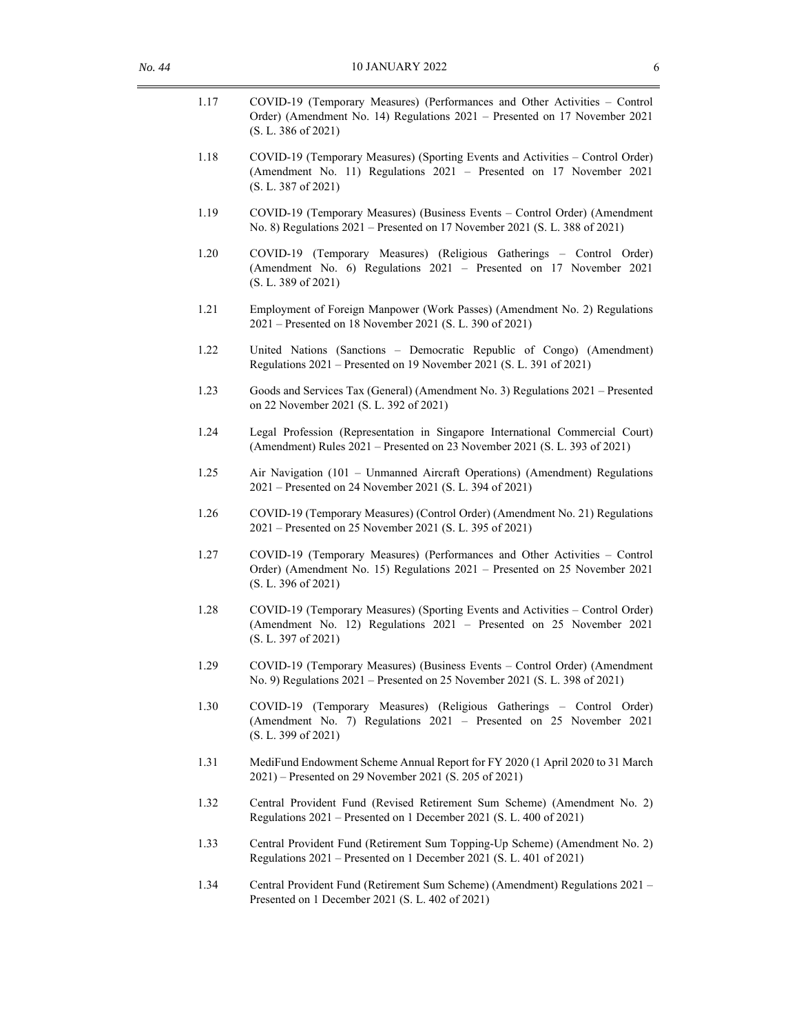| 1.17 | COVID-19 (Temporary Measures) (Performances and Other Activities - Control<br>Order) (Amendment No. 14) Regulations 2021 - Presented on 17 November 2021<br>(S. L. 386 of 2021) |
|------|---------------------------------------------------------------------------------------------------------------------------------------------------------------------------------|
| 1.18 | COVID-19 (Temporary Measures) (Sporting Events and Activities - Control Order)<br>(Amendment No. 11) Regulations 2021 - Presented on 17 November 2021<br>(S. L. 387 of 2021)    |
| 1.19 | COVID-19 (Temporary Measures) (Business Events - Control Order) (Amendment<br>No. 8) Regulations 2021 - Presented on 17 November 2021 (S. L. 388 of 2021)                       |
| 1.20 | COVID-19 (Temporary Measures) (Religious Gatherings - Control Order)<br>(Amendment No. 6) Regulations 2021 - Presented on 17 November 2021<br>(S. L. 389 of 2021)               |
| 1.21 | Employment of Foreign Manpower (Work Passes) (Amendment No. 2) Regulations<br>2021 – Presented on 18 November 2021 (S. L. 390 of 2021)                                          |
| 1.22 | United Nations (Sanctions - Democratic Republic of Congo) (Amendment)<br>Regulations 2021 – Presented on 19 November 2021 (S. L. 391 of 2021)                                   |
| 1.23 | Goods and Services Tax (General) (Amendment No. 3) Regulations 2021 – Presented<br>on 22 November 2021 (S. L. 392 of 2021)                                                      |
| 1.24 | Legal Profession (Representation in Singapore International Commercial Court)<br>(Amendment) Rules 2021 – Presented on 23 November 2021 (S. L. 393 of 2021)                     |
| 1.25 | Air Navigation (101 - Unmanned Aircraft Operations) (Amendment) Regulations<br>2021 – Presented on 24 November 2021 (S. L. 394 of 2021)                                         |
| 1.26 | COVID-19 (Temporary Measures) (Control Order) (Amendment No. 21) Regulations<br>2021 – Presented on 25 November 2021 (S. L. 395 of 2021)                                        |
| 1.27 | COVID-19 (Temporary Measures) (Performances and Other Activities - Control<br>Order) (Amendment No. 15) Regulations 2021 - Presented on 25 November 2021<br>(S. L. 396 of 2021) |
| 1.28 | COVID-19 (Temporary Measures) (Sporting Events and Activities - Control Order)<br>(Amendment No. 12) Regulations 2021 - Presented on 25 November 2021<br>(S. L. 397 of 2021)    |
| 1.29 | COVID-19 (Temporary Measures) (Business Events - Control Order) (Amendment<br>No. 9) Regulations 2021 – Presented on 25 November 2021 (S. L. 398 of 2021)                       |
| 1.30 | COVID-19 (Temporary Measures) (Religious Gatherings - Control Order)<br>(Amendment No. 7) Regulations 2021 - Presented on 25 November 2021<br>(S. L. 399 of 2021)               |
| 1.31 | MediFund Endowment Scheme Annual Report for FY 2020 (1 April 2020 to 31 March<br>2021) – Presented on 29 November 2021 (S. 205 of 2021)                                         |
| 1.32 | Central Provident Fund (Revised Retirement Sum Scheme) (Amendment No. 2)<br>Regulations 2021 – Presented on 1 December 2021 (S. L. 400 of 2021)                                 |
| 1.33 | Central Provident Fund (Retirement Sum Topping-Up Scheme) (Amendment No. 2)<br>Regulations 2021 – Presented on 1 December 2021 (S. L. 401 of 2021)                              |
| 1.34 | Central Provident Fund (Retirement Sum Scheme) (Amendment) Regulations 2021 -<br>Presented on 1 December 2021 (S. L. 402 of 2021)                                               |
|      |                                                                                                                                                                                 |
|      |                                                                                                                                                                                 |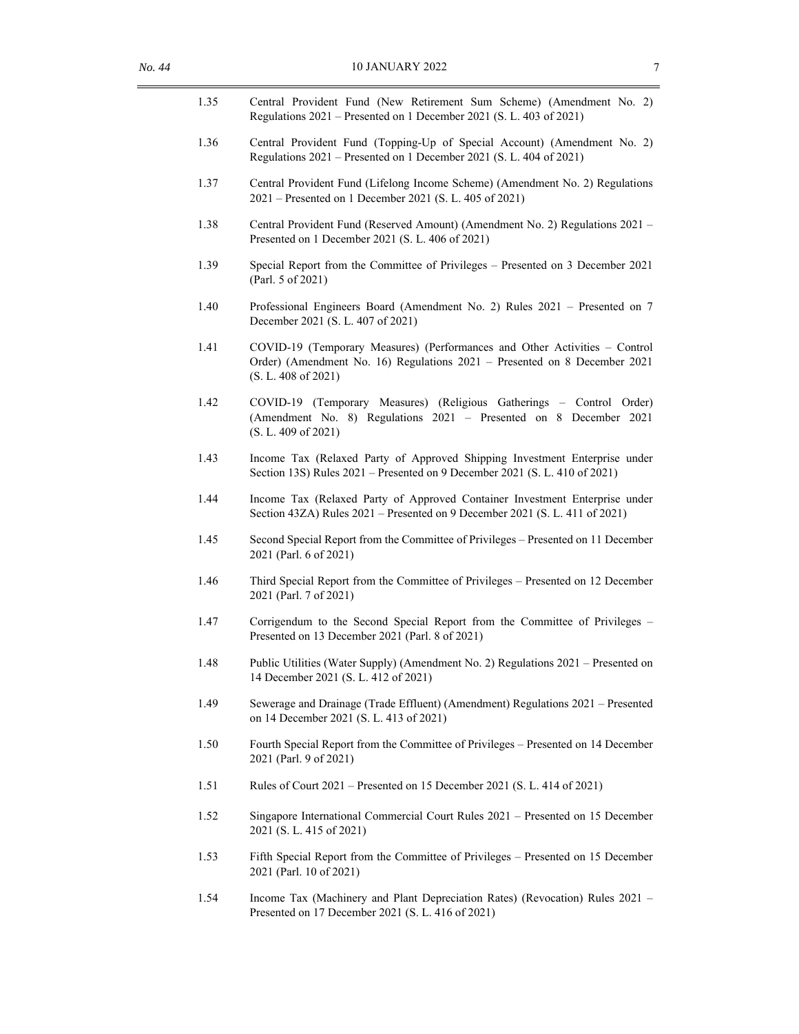| 1.35 | Central Provident Fund (New Retirement Sum Scheme) (Amendment No. 2)<br>Regulations 2021 – Presented on 1 December 2021 (S. L. 403 of 2021)                                    |
|------|--------------------------------------------------------------------------------------------------------------------------------------------------------------------------------|
| 1.36 | Central Provident Fund (Topping-Up of Special Account) (Amendment No. 2)<br>Regulations 2021 – Presented on 1 December 2021 (S. L. 404 of 2021)                                |
| 1.37 | Central Provident Fund (Lifelong Income Scheme) (Amendment No. 2) Regulations<br>2021 – Presented on 1 December 2021 (S. L. 405 of 2021)                                       |
| 1.38 | Central Provident Fund (Reserved Amount) (Amendment No. 2) Regulations 2021 -<br>Presented on 1 December 2021 (S. L. 406 of 2021)                                              |
| 1.39 | Special Report from the Committee of Privileges – Presented on 3 December 2021<br>(Parl. 5 of 2021)                                                                            |
| 1.40 | Professional Engineers Board (Amendment No. 2) Rules 2021 – Presented on 7<br>December 2021 (S. L. 407 of 2021)                                                                |
| 1.41 | COVID-19 (Temporary Measures) (Performances and Other Activities - Control<br>Order) (Amendment No. 16) Regulations 2021 - Presented on 8 December 2021<br>(S. L. 408 of 2021) |
| 1.42 | COVID-19 (Temporary Measures) (Religious Gatherings - Control Order)<br>(Amendment No. 8) Regulations 2021 - Presented on 8 December 2021<br>(S. L. 409 of 2021)               |
| 1.43 | Income Tax (Relaxed Party of Approved Shipping Investment Enterprise under<br>Section 13S) Rules 2021 – Presented on 9 December 2021 (S. L. 410 of 2021)                       |
| 1.44 | Income Tax (Relaxed Party of Approved Container Investment Enterprise under<br>Section 43ZA) Rules 2021 – Presented on 9 December 2021 (S. L. 411 of 2021)                     |
| 1.45 | Second Special Report from the Committee of Privileges - Presented on 11 December<br>2021 (Parl. 6 of 2021)                                                                    |
| 1.46 | Third Special Report from the Committee of Privileges - Presented on 12 December<br>2021 (Parl. 7 of 2021)                                                                     |
| 1.47 | Corrigendum to the Second Special Report from the Committee of Privileges -<br>Presented on 13 December 2021 (Parl. 8 of 2021)                                                 |
| 1.48 | Public Utilities (Water Supply) (Amendment No. 2) Regulations 2021 – Presented on<br>14 December 2021 (S. L. 412 of 2021)                                                      |
| 1.49 | Sewerage and Drainage (Trade Effluent) (Amendment) Regulations 2021 – Presented<br>on 14 December 2021 (S. L. 413 of 2021)                                                     |
| 1.50 | Fourth Special Report from the Committee of Privileges - Presented on 14 December<br>2021 (Parl. 9 of 2021)                                                                    |
| 1.51 | Rules of Court $2021$ – Presented on 15 December 2021 (S. L. 414 of 2021)                                                                                                      |
| 1.52 | Singapore International Commercial Court Rules 2021 - Presented on 15 December<br>2021 (S. L. 415 of 2021)                                                                     |
| 1.53 | Fifth Special Report from the Committee of Privileges - Presented on 15 December<br>2021 (Parl. 10 of 2021)                                                                    |
| 1.54 | Income Tax (Machinery and Plant Depreciation Rates) (Revocation) Rules 2021 –<br>Presented on 17 December 2021 (S. L. 416 of 2021)                                             |
|      |                                                                                                                                                                                |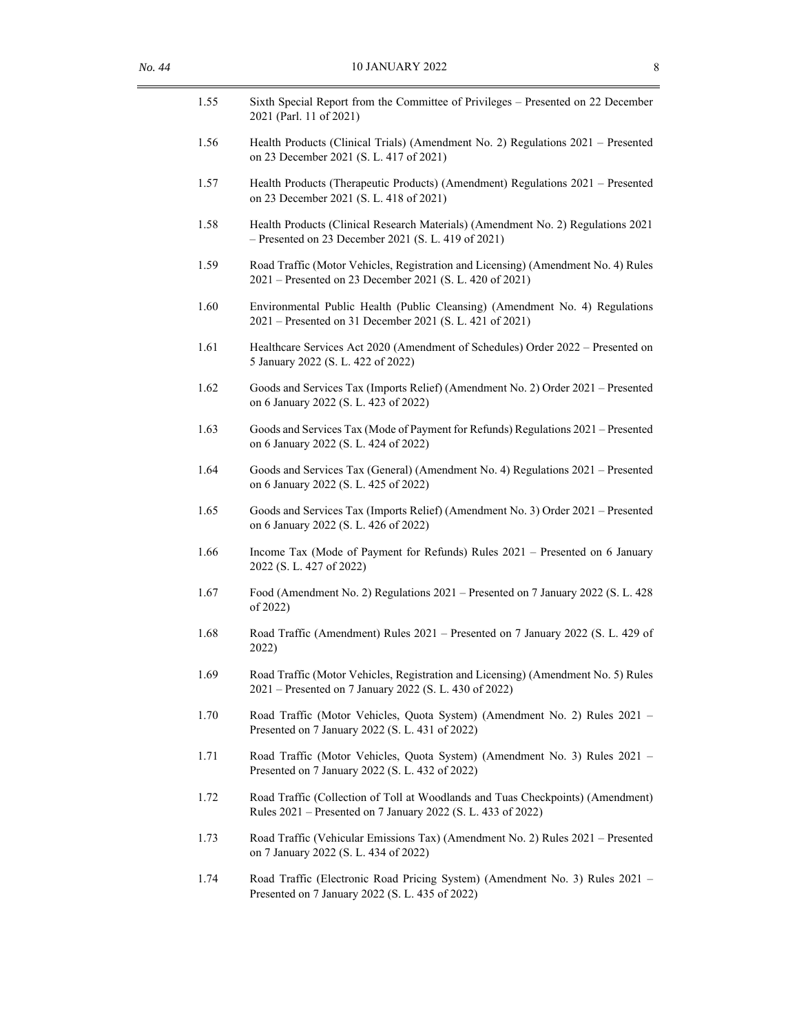| 1.55 | Sixth Special Report from the Committee of Privileges - Presented on 22 December<br>2021 (Parl. 11 of 2021)                                     |
|------|-------------------------------------------------------------------------------------------------------------------------------------------------|
| 1.56 | Health Products (Clinical Trials) (Amendment No. 2) Regulations 2021 - Presented<br>on 23 December 2021 (S. L. 417 of 2021)                     |
| 1.57 | Health Products (Therapeutic Products) (Amendment) Regulations 2021 - Presented<br>on 23 December 2021 (S. L. 418 of 2021)                      |
| 1.58 | Health Products (Clinical Research Materials) (Amendment No. 2) Regulations 2021<br>$-$ Presented on 23 December 2021 (S. L. 419 of 2021)       |
| 1.59 | Road Traffic (Motor Vehicles, Registration and Licensing) (Amendment No. 4) Rules<br>2021 – Presented on 23 December 2021 (S. L. 420 of 2021)   |
| 1.60 | Environmental Public Health (Public Cleansing) (Amendment No. 4) Regulations<br>2021 – Presented on 31 December 2021 (S. L. 421 of 2021)        |
| 1.61 | Healthcare Services Act 2020 (Amendment of Schedules) Order 2022 - Presented on<br>5 January 2022 (S. L. 422 of 2022)                           |
| 1.62 | Goods and Services Tax (Imports Relief) (Amendment No. 2) Order 2021 - Presented<br>on 6 January 2022 (S. L. 423 of 2022)                       |
| 1.63 | Goods and Services Tax (Mode of Payment for Refunds) Regulations 2021 - Presented<br>on 6 January 2022 (S. L. 424 of 2022)                      |
| 1.64 | Goods and Services Tax (General) (Amendment No. 4) Regulations 2021 – Presented<br>on 6 January 2022 (S. L. 425 of 2022)                        |
| 1.65 | Goods and Services Tax (Imports Relief) (Amendment No. 3) Order 2021 - Presented<br>on 6 January 2022 (S. L. 426 of 2022)                       |
| 1.66 | Income Tax (Mode of Payment for Refunds) Rules 2021 - Presented on 6 January<br>2022 (S. L. 427 of 2022)                                        |
| 1.67 | Food (Amendment No. 2) Regulations 2021 – Presented on 7 January 2022 (S. L. 428<br>of 2022)                                                    |
| 1.68 | Road Traffic (Amendment) Rules 2021 - Presented on 7 January 2022 (S. L. 429 of<br>2022)                                                        |
| 1.69 | Road Traffic (Motor Vehicles, Registration and Licensing) (Amendment No. 5) Rules<br>2021 – Presented on 7 January 2022 (S. L. 430 of 2022)     |
| 1.70 | Road Traffic (Motor Vehicles, Quota System) (Amendment No. 2) Rules 2021 -<br>Presented on 7 January 2022 (S. L. 431 of 2022)                   |
| 1.71 | Road Traffic (Motor Vehicles, Quota System) (Amendment No. 3) Rules 2021 -<br>Presented on 7 January 2022 (S. L. 432 of 2022)                   |
| 1.72 | Road Traffic (Collection of Toll at Woodlands and Tuas Checkpoints) (Amendment)<br>Rules 2021 – Presented on 7 January 2022 (S. L. 433 of 2022) |
| 1.73 | Road Traffic (Vehicular Emissions Tax) (Amendment No. 2) Rules 2021 – Presented<br>on 7 January 2022 (S. L. 434 of 2022)                        |
| 1.74 | Road Traffic (Electronic Road Pricing System) (Amendment No. 3) Rules 2021 -<br>Presented on 7 January 2022 (S. L. 435 of 2022)                 |
|      |                                                                                                                                                 |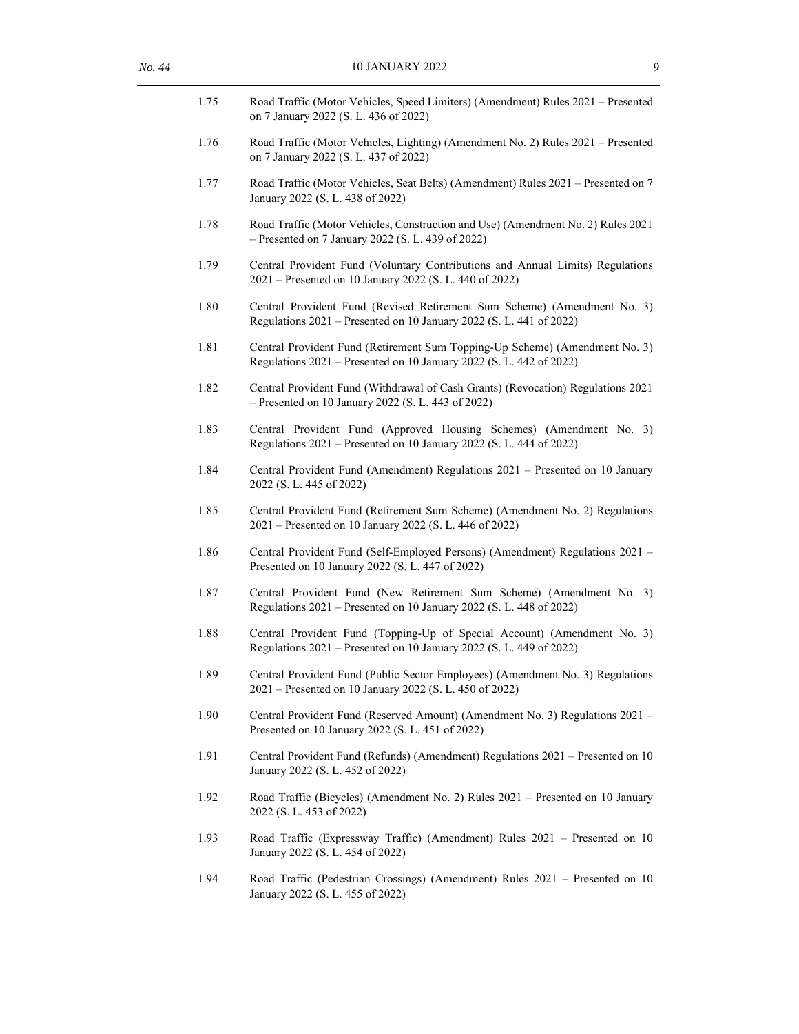| 1.75 | Road Traffic (Motor Vehicles, Speed Limiters) (Amendment) Rules 2021 - Presented<br>on 7 January 2022 (S. L. 436 of 2022)                          |
|------|----------------------------------------------------------------------------------------------------------------------------------------------------|
| 1.76 | Road Traffic (Motor Vehicles, Lighting) (Amendment No. 2) Rules 2021 - Presented<br>on 7 January 2022 (S. L. 437 of 2022)                          |
| 1.77 | Road Traffic (Motor Vehicles, Seat Belts) (Amendment) Rules 2021 - Presented on 7<br>January 2022 (S. L. 438 of 2022)                              |
| 1.78 | Road Traffic (Motor Vehicles, Construction and Use) (Amendment No. 2) Rules 2021<br>$-$ Presented on 7 January 2022 (S. L. 439 of 2022)            |
| 1.79 | Central Provident Fund (Voluntary Contributions and Annual Limits) Regulations<br>2021 – Presented on 10 January 2022 (S. L. 440 of 2022)          |
| 1.80 | Central Provident Fund (Revised Retirement Sum Scheme) (Amendment No. 3)<br>Regulations 2021 – Presented on 10 January 2022 (S. L. 441 of 2022)    |
| 1.81 | Central Provident Fund (Retirement Sum Topping-Up Scheme) (Amendment No. 3)<br>Regulations 2021 – Presented on 10 January 2022 (S. L. 442 of 2022) |
| 1.82 | Central Provident Fund (Withdrawal of Cash Grants) (Revocation) Regulations 2021<br>$-$ Presented on 10 January 2022 (S. L. 443 of 2022)           |
| 1.83 | Central Provident Fund (Approved Housing Schemes) (Amendment No. 3)<br>Regulations 2021 - Presented on 10 January 2022 (S. L. 444 of 2022)         |
| 1.84 | Central Provident Fund (Amendment) Regulations 2021 – Presented on 10 January<br>2022 (S. L. 445 of 2022)                                          |
| 1.85 | Central Provident Fund (Retirement Sum Scheme) (Amendment No. 2) Regulations<br>2021 – Presented on 10 January 2022 (S. L. 446 of 2022)            |
| 1.86 | Central Provident Fund (Self-Employed Persons) (Amendment) Regulations 2021 -<br>Presented on 10 January 2022 (S. L. 447 of 2022)                  |
| 1.87 | Central Provident Fund (New Retirement Sum Scheme) (Amendment No. 3)<br>Regulations 2021 – Presented on 10 January 2022 (S. L. 448 of 2022)        |
| 1.88 | Central Provident Fund (Topping-Up of Special Account) (Amendment No. 3)<br>Regulations 2021 – Presented on 10 January 2022 (S. L. 449 of 2022)    |
| 1.89 | Central Provident Fund (Public Sector Employees) (Amendment No. 3) Regulations<br>2021 – Presented on 10 January 2022 (S. L. 450 of 2022)          |
| 1.90 | Central Provident Fund (Reserved Amount) (Amendment No. 3) Regulations 2021 –<br>Presented on 10 January 2022 (S. L. 451 of 2022)                  |
| 1.91 | Central Provident Fund (Refunds) (Amendment) Regulations 2021 – Presented on 10<br>January 2022 (S. L. 452 of 2022)                                |
| 1.92 | Road Traffic (Bicycles) (Amendment No. 2) Rules 2021 – Presented on 10 January<br>2022 (S. L. 453 of 2022)                                         |
| 1.93 | Road Traffic (Expressway Traffic) (Amendment) Rules 2021 – Presented on 10<br>January 2022 (S. L. 454 of 2022)                                     |
| 1.94 | Road Traffic (Pedestrian Crossings) (Amendment) Rules 2021 – Presented on 10<br>January 2022 (S. L. 455 of 2022)                                   |
|      |                                                                                                                                                    |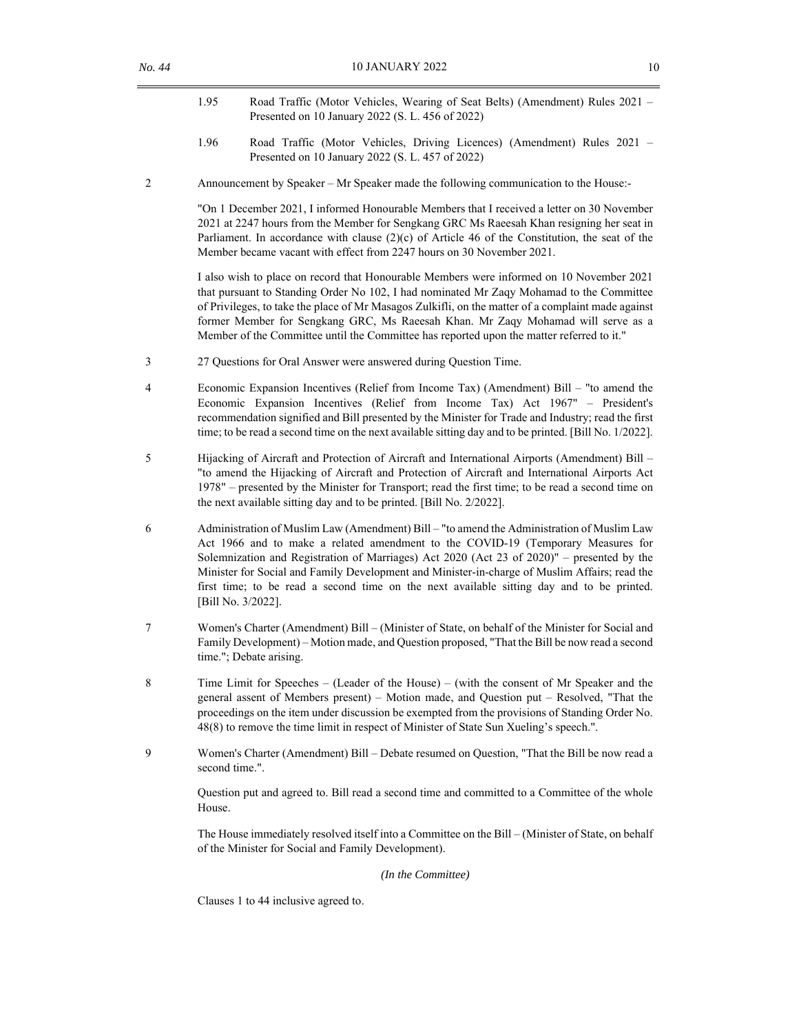- 1.95 Road Traffic (Motor Vehicles, Wearing of Seat Belts) (Amendment) Rules 2021 Presented on 10 January 2022 (S. L. 456 of 2022)
- 1.96 Road Traffic (Motor Vehicles, Driving Licences) (Amendment) Rules 2021 Presented on 10 January 2022 (S. L. 457 of 2022)
- 2 Announcement by Speaker Mr Speaker made the following communication to the House:-

"On 1 December 2021, I informed Honourable Members that I received a letter on 30 November 2021 at 2247 hours from the Member for Sengkang GRC Ms Raeesah Khan resigning her seat in Parliament. In accordance with clause  $(2)(c)$  of Article 46 of the Constitution, the seat of the Member became vacant with effect from 2247 hours on 30 November 2021.

I also wish to place on record that Honourable Members were informed on 10 November 2021 that pursuant to Standing Order No 102, I had nominated Mr Zaqy Mohamad to the Committee of Privileges, to take the place of Mr Masagos Zulkifli, on the matter of a complaint made against former Member for Sengkang GRC, Ms Raeesah Khan. Mr Zaqy Mohamad will serve as a Member of the Committee until the Committee has reported upon the matter referred to it."

- 3 27 Questions for Oral Answer were answered during Question Time.
- 4 Economic Expansion Incentives (Relief from Income Tax) (Amendment) Bill "to amend the Economic Expansion Incentives (Relief from Income Tax) Act 1967" – President's recommendation signified and Bill presented by the Minister for Trade and Industry; read the first time; to be read a second time on the next available sitting day and to be printed. [Bill No. 1/2022].
- 5 Hijacking of Aircraft and Protection of Aircraft and International Airports (Amendment) Bill "to amend the Hijacking of Aircraft and Protection of Aircraft and International Airports Act 1978" – presented by the Minister for Transport; read the first time; to be read a second time on the next available sitting day and to be printed. [Bill No. 2/2022].
- 6 Administration of Muslim Law (Amendment) Bill "to amend the Administration of Muslim Law Act 1966 and to make a related amendment to the COVID-19 (Temporary Measures for Solemnization and Registration of Marriages) Act 2020 (Act 23 of 2020)" – presented by the Minister for Social and Family Development and Minister-in-charge of Muslim Affairs; read the first time; to be read a second time on the next available sitting day and to be printed. [Bill No. 3/2022].
- 7 Women's Charter (Amendment) Bill (Minister of State, on behalf of the Minister for Social and Family Development) – Motion made, and Question proposed, "That the Bill be now read a second time."; Debate arising.
- 8 Time Limit for Speeches (Leader of the House) (with the consent of Mr Speaker and the general assent of Members present) – Motion made, and Question put – Resolved, "That the proceedings on the item under discussion be exempted from the provisions of Standing Order No. 48(8) to remove the time limit in respect of Minister of State Sun Xueling's speech.".
- 9 Women's Charter (Amendment) Bill Debate resumed on Question, "That the Bill be now read a second time.".

Question put and agreed to. Bill read a second time and committed to a Committee of the whole House.

 The House immediately resolved itself into a Committee on the Bill – (Minister of State, on behalf of the Minister for Social and Family Development).

*(In the Committee)* 

Clauses 1 to 44 inclusive agreed to.